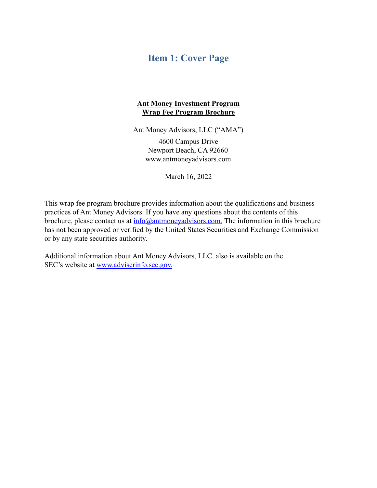## <span id="page-0-0"></span>**Item 1: Cover Page**

#### **Ant Money Investment Program Wrap Fee Program Brochure**

Ant Money Advisors, LLC ("AMA")

4600 Campus Drive Newport Beach, CA 92660 [www.antmoneyadvisors.com](http://www.antmoneyadvisors.com/)

March 16, 2022

This wrap fee program brochure provides information about the qualifications and business practices of Ant Money Advisors. If you have any questions about the contents of this brochure, please contact us at  $\frac{info(\partial_{\theta}$  antmoneyadvisors.com. The information in this brochure has not been approved or verified by the United States Securities and Exchange Commission or by any state securities authority.

Additional information about Ant Money Advisors, LLC. also is available on the SEC's website at [www.adviserinfo.sec.gov.](http://www.adviserinfo.sec.gov.)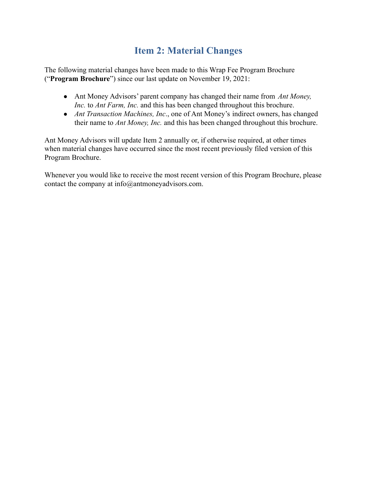# **Item 2: Material Changes**

<span id="page-1-0"></span>The following material changes have been made to this Wrap Fee Program Brochure ("**Program Brochure**") since our last update on November 19, 2021:

- Ant Money Advisors' parent company has changed their name from *Ant Money, Inc.* to *Ant Farm, Inc.* and this has been changed throughout this brochure.
- *Ant Transaction Machines, Inc*., one of Ant Money's indirect owners, has changed their name to *Ant Money, Inc.* and this has been changed throughout this brochure.

Ant Money Advisors will update Item 2 annually or, if otherwise required, at other times when material changes have occurred since the most recent previously filed version of this Program Brochure.

Whenever you would like to receive the most recent version of this Program Brochure, please contact the company at [info@antmoneyadvisors.com.](mailto:info@antmoneyadvisors.com)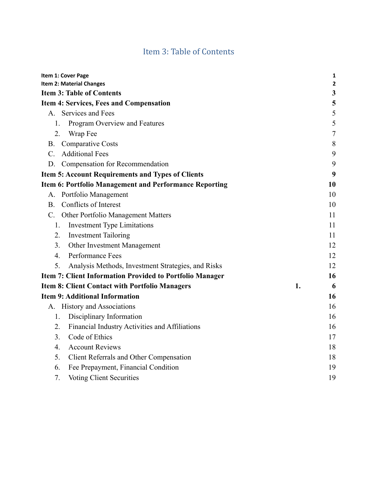# Item 3: Table of Contents

<span id="page-2-0"></span>

| Item 1: Cover Page                                       |    | 1              |
|----------------------------------------------------------|----|----------------|
| Item 2: Material Changes                                 |    | 2              |
| <b>Item 3: Table of Contents</b>                         |    | $\mathbf{3}$   |
| <b>Item 4: Services, Fees and Compensation</b>           |    | 5              |
| A. Services and Fees                                     |    | 5              |
| 1.<br>Program Overview and Features                      |    | 5              |
| Wrap Fee<br>2.                                           |    | $\overline{7}$ |
| <b>Comparative Costs</b><br><b>B.</b>                    |    | 8              |
| <b>Additional Fees</b><br>$C_{\cdot}$                    |    | 9              |
| Compensation for Recommendation<br>D.                    |    | 9              |
| <b>Item 5: Account Requirements and Types of Clients</b> |    | 9              |
| Item 6: Portfolio Management and Performance Reporting   |    | 10             |
| A. Portfolio Management                                  |    | 10             |
| Conflicts of Interest<br><b>B.</b>                       |    | 10             |
| C. Other Portfolio Management Matters                    |    | 11             |
| <b>Investment Type Limitations</b><br>1.                 |    | 11             |
| 2.<br><b>Investment Tailoring</b>                        |    | 11             |
| Other Investment Management<br>3.                        |    | 12             |
| Performance Fees<br>4.                                   |    | 12             |
| 5.<br>Analysis Methods, Investment Strategies, and Risks |    | 12             |
| Item 7: Client Information Provided to Portfolio Manager |    | 16             |
| <b>Item 8: Client Contact with Portfolio Managers</b>    | 1. | 6              |
| <b>Item 9: Additional Information</b>                    |    | 16             |
| A. History and Associations                              |    | 16             |
| Disciplinary Information<br>1.                           |    | 16             |
| 2.<br>Financial Industry Activities and Affiliations     |    | 16             |
| Code of Ethics<br>3 <sub>1</sub>                         |    | 17             |
| <b>Account Reviews</b><br>$\overline{4}$ .               |    | 18             |
| Client Referrals and Other Compensation<br>5.            |    | 18             |
| 6.<br>Fee Prepayment, Financial Condition                |    | 19             |
| <b>Voting Client Securities</b><br>7.                    |    | 19             |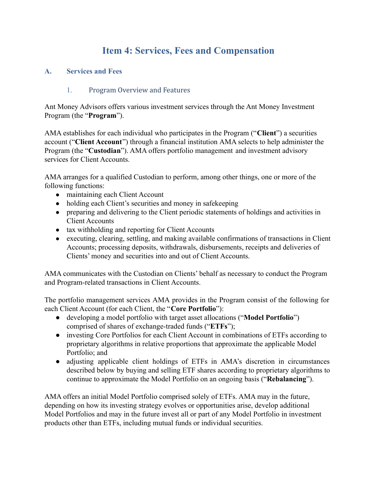# **Item 4: Services, Fees and Compensation**

#### <span id="page-3-2"></span><span id="page-3-1"></span><span id="page-3-0"></span>**A. Services and Fees**

#### 1. Program Overview and Features

Ant Money Advisors offers various investment services through the Ant Money Investment Program (the "**Program**").

AMA establishes for each individual who participates in the Program ("**Client**") a securities account ("**Client Account**") through a financial institution AMA selects to help administer the Program (the "**Custodian**"). AMA offers portfolio management and investment advisory services for Client Accounts.

AMA arranges for a qualified Custodian to perform, among other things, one or more of the following functions:

- maintaining each Client Account
- holding each Client's securities and money in safekeeping
- preparing and delivering to the Client periodic statements of holdings and activities in Client Accounts
- tax withholding and reporting for Client Accounts
- executing, clearing, settling, and making available confirmations of transactions in Client Accounts; processing deposits, withdrawals, disbursements, receipts and deliveries of Clients' money and securities into and out of Client Accounts.

AMA communicates with the Custodian on Clients' behalf as necessary to conduct the Program and Program-related transactions in Client Accounts.

The portfolio management services AMA provides in the Program consist of the following for each Client Account (for each Client, the "**Core Portfolio**"):

- developing a model portfolio with target asset allocations ("**Model Portfolio**") comprised of shares of exchange-traded funds ("**ETFs**");
- investing Core Portfolios for each Client Account in combinations of ETFs according to proprietary algorithms in relative proportions that approximate the applicable Model Portfolio; and
- adjusting applicable client holdings of ETFs in AMA's discretion in circumstances described below by buying and selling ETF shares according to proprietary algorithms to continue to approximate the Model Portfolio on an ongoing basis ("**Rebalancing**").

AMA offers an initial Model Portfolio comprised solely of ETFs. AMA may in the future, depending on how its investing strategy evolves or opportunities arise, develop additional Model Portfolios and may in the future invest all or part of any Model Portfolio in investment products other than ETFs, including mutual funds or individual securities.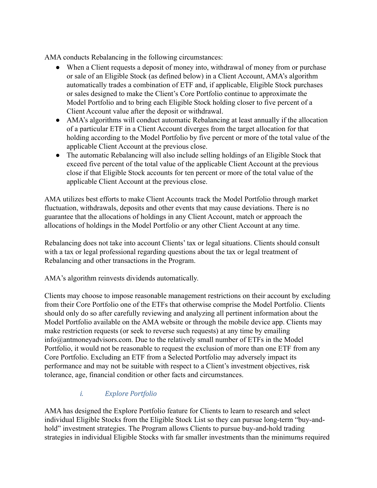AMA conducts Rebalancing in the following circumstances:

- When a Client requests a deposit of money into, withdrawal of money from or purchase or sale of an Eligible Stock (as defined below) in a Client Account, AMA's algorithm automatically trades a combination of ETF and, if applicable, Eligible Stock purchases or sales designed to make the Client's Core Portfolio continue to approximate the Model Portfolio and to bring each Eligible Stock holding closer to five percent of a Client Account value after the deposit or withdrawal.
- AMA's algorithms will conduct automatic Rebalancing at least annually if the allocation of a particular ETF in a Client Account diverges from the target allocation for that holding according to the Model Portfolio by five percent or more of the total value of the applicable Client Account at the previous close.
- The automatic Rebalancing will also include selling holdings of an Eligible Stock that exceed five percent of the total value of the applicable Client Account at the previous close if that Eligible Stock accounts for ten percent or more of the total value of the applicable Client Account at the previous close.

AMA utilizes best efforts to make Client Accounts track the Model Portfolio through market fluctuation, withdrawals, deposits and other events that may cause deviations. There is no guarantee that the allocations of holdings in any Client Account, match or approach the allocations of holdings in the Model Portfolio or any other Client Account at any time.

Rebalancing does not take into account Clients' tax or legal situations. Clients should consult with a tax or legal professional regarding questions about the tax or legal treatment of Rebalancing and other transactions in the Program.

AMA's algorithm reinvests dividends automatically.

Clients may choose to impose reasonable management restrictions on their account by excluding from their Core Portfolio one of the ETFs that otherwise comprise the Model Portfolio. Clients should only do so after carefully reviewing and analyzing all pertinent information about the Model Portfolio available on the AMA website or through the mobile device app. Clients may make restriction requests (or seek to reverse such requests) at any time by emailing [info@antmoneyadvisors.com.](mailto:info@antmoneyadvisors.com) Due to the relatively small number of ETFs in the Model Portfolio, it would not be reasonable to request the exclusion of more than one ETF from any Core Portfolio. Excluding an ETF from a Selected Portfolio may adversely impact its performance and may not be suitable with respect to a Client's investment objectives, risk tolerance, age, financial condition or other facts and circumstances.

## *i. Explore Portfolio*

AMA has designed the Explore Portfolio feature for Clients to learn to research and select individual Eligible Stocks from the Eligible Stock List so they can pursue long-term "buy-andhold" investment strategies. The Program allows Clients to pursue buy-and-hold trading strategies in individual Eligible Stocks with far smaller investments than the minimums required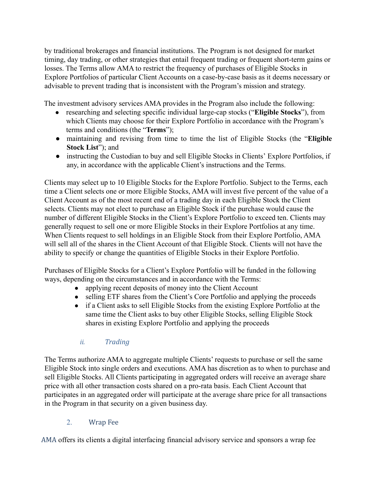by traditional brokerages and financial institutions. The Program is not designed for market timing, day trading, or other strategies that entail frequent trading or frequent short-term gains or losses. The Terms allow AMA to restrict the frequency of purchases of Eligible Stocks in Explore Portfolios of particular Client Accounts on a case-by-case basis as it deems necessary or advisable to prevent trading that is inconsistent with the Program's mission and strategy.

The investment advisory services AMA provides in the Program also include the following:

- researching and selecting specific individual large-cap stocks ("**Eligible Stocks**"), from which Clients may choose for their Explore Portfolio in accordance with the Program's terms and conditions (the "**Terms**");
- maintaining and revising from time to time the list of Eligible Stocks (the "**Eligible Stock List**"); and
- instructing the Custodian to buy and sell Eligible Stocks in Clients' Explore Portfolios, if any, in accordance with the applicable Client's instructions and the Terms.

Clients may select up to 10 Eligible Stocks for the Explore Portfolio. Subject to the Terms, each time a Client selects one or more Eligible Stocks, AMA will invest five percent of the value of a Client Account as of the most recent end of a trading day in each Eligible Stock the Client selects. Clients may not elect to purchase an Eligible Stock if the purchase would cause the number of different Eligible Stocks in the Client's Explore Portfolio to exceed ten. Clients may generally request to sell one or more Eligible Stocks in their Explore Portfolios at any time. When Clients request to sell holdings in an Eligible Stock from their Explore Portfolio, AMA will sell all of the shares in the Client Account of that Eligible Stock. Clients will not have the ability to specify or change the quantities of Eligible Stocks in their Explore Portfolio.

Purchases of Eligible Stocks for a Client's Explore Portfolio will be funded in the following ways, depending on the circumstances and in accordance with the Terms:

- applying recent deposits of money into the Client Account
- selling ETF shares from the Client's Core Portfolio and applying the proceeds
- if a Client asks to sell Eligible Stocks from the existing Explore Portfolio at the same time the Client asks to buy other Eligible Stocks, selling Eligible Stock shares in existing Explore Portfolio and applying the proceeds

### *ii. Trading*

The Terms authorize AMA to aggregate multiple Clients' requests to purchase or sell the same Eligible Stock into single orders and executions. AMA has discretion as to when to purchase and sell Eligible Stocks. All Clients participating in aggregated orders will receive an average share price with all other transaction costs shared on a pro-rata basis. Each Client Account that participates in an aggregated order will participate at the average share price for all transactions in the Program in that security on a given business day.

### 2. Wrap Fee

<span id="page-5-0"></span>AMA offers its clients a digital interfacing financial advisory service and sponsors a wrap fee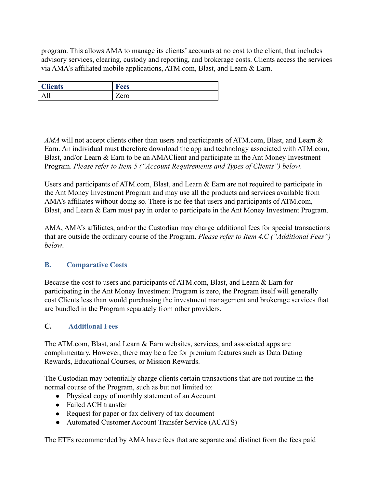program. This allows AMA to manage its clients' accounts at no cost to the client, that includes advisory services, clearing, custody and reporting, and brokerage costs. Clients access the services via AMA's affiliated mobile applications, ATM.com, Blast, and Learn & Earn.

| <b>Tlients</b> | œ<br>Fees                |
|----------------|--------------------------|
| 11             | $\overline{\phantom{0}}$ |
|                | Zero                     |

*AMA* will not accept clients other than users and participants of ATM.com, Blast, and Learn & Earn. An individual must therefore download the app and technology associated with ATM.com, Blast, and/or Learn & Earn to be an AMAClient and participate in the Ant Money Investment Program. *Please refer to Item 5 ("Account Requirements and Types of Clients") below*.

Users and participants of ATM.com, Blast, and Learn & Earn are not required to participate in the Ant Money Investment Program and may use all the products and services available from AMA's affiliates without doing so. There is no fee that users and participants of ATM.com, Blast, and Learn & Earn must pay in order to participate in the Ant Money Investment Program.

AMA, AMA's affiliates, and/or the Custodian may charge additional fees for special transactions that are outside the ordinary course of the Program. *Please refer to Item 4.C ("Additional Fees") below*.

#### <span id="page-6-0"></span>**B. Comparative Costs**

Because the cost to users and participants of ATM.com, Blast, and Learn & Earn for participating in the Ant Money Investment Program is zero, the Program itself will generally cost Clients less than would purchasing the investment management and brokerage services that are bundled in the Program separately from other providers.

#### **C. Additional Fees**

The ATM.com, Blast, and Learn & Earn websites, services, and associated apps are complimentary. However, there may be a fee for premium features such as Data Dating Rewards, Educational Courses, or Mission Rewards.

The Custodian may potentially charge clients certain transactions that are not routine in the normal course of the Program, such as but not limited to:

- Physical copy of monthly statement of an Account
- Failed ACH transfer
- Request for paper or fax delivery of tax document
- Automated Customer Account Transfer Service (ACATS)

The ETFs recommended by AMA have fees that are separate and distinct from the fees paid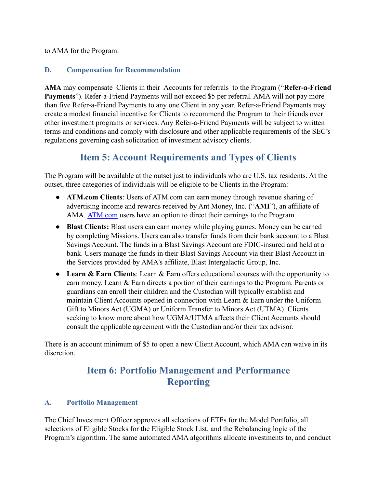to AMA for the Program.

#### <span id="page-7-0"></span>**D. Compensation for Recommendation**

**AMA** may compensate Clients in their Accounts for referrals to the Program ("**Refer-a-Friend Payments**"). Refer-a-Friend Payments will not exceed \$5 per referral. AMA will not pay more than five Refer-a-Friend Payments to any one Client in any year. Refer-a-Friend Payments may create a modest financial incentive for Clients to recommend the Program to their friends over other investment programs or services. Any Refer-a-Friend Payments will be subject to written terms and conditions and comply with disclosure and other applicable requirements of the SEC's regulations governing cash solicitation of investment advisory clients.

# **Item 5: Account Requirements and Types of Clients**

<span id="page-7-1"></span>The Program will be available at the outset just to individuals who are U.S. tax residents. At the outset, three categories of individuals will be eligible to be Clients in the Program:

- **ATM.com Clients**: Users of ATM.com can earn money through revenue sharing of advertising income and rewards received by Ant Money, Inc. ("**AMI**"), an affiliate of AMA. ATM.com users have an option to direct their earnings to the Program
- **Blast Clients:** Blast users can earn money while playing games. Money can be earned by completing Missions. Users can also transfer funds from their bank account to a Blast Savings Account. The funds in a Blast Savings Account are FDIC-insured and held at a bank. Users manage the funds in their Blast Savings Account via their Blast Account in the Services provided by AMA's affiliate, Blast Intergalactic Group, Inc.
- **Learn & Earn Clients**: Learn & Earn offers educational courses with the opportunity to earn money. Learn & Earn directs a portion of their earnings to the Program. Parents or guardians can enroll their children and the Custodian will typically establish and maintain Client Accounts opened in connection with Learn  $\&$  Earn under the Uniform Gift to Minors Act (UGMA) or Uniform Transfer to Minors Act (UTMA). Clients seeking to know more about how UGMA/UTMA affects their Client Accounts should consult the applicable agreement with the Custodian and/or their tax advisor.

There is an account minimum of \$5 to open a new Client Account, which AMA can waive in its discretion.

# **Item 6: Portfolio Management and Performance Reporting**

### <span id="page-7-3"></span><span id="page-7-2"></span>**A. Portfolio Management**

The Chief Investment Officer approves all selections of ETFs for the Model Portfolio, all selections of Eligible Stocks for the Eligible Stock List, and the Rebalancing logic of the Program's algorithm. The same automated AMA algorithms allocate investments to, and conduct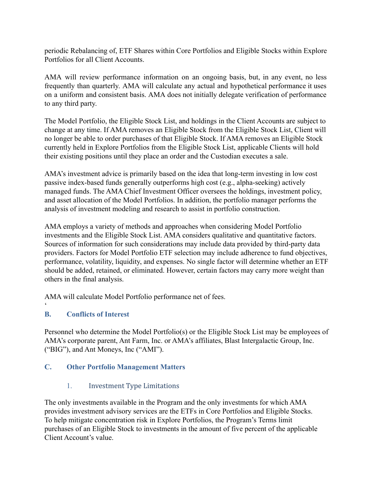periodic Rebalancing of, ETF Shares within Core Portfolios and Eligible Stocks within Explore Portfolios for all Client Accounts.

AMA will review performance information on an ongoing basis, but, in any event, no less frequently than quarterly. AMA will calculate any actual and hypothetical performance it uses on a uniform and consistent basis. AMA does not initially delegate verification of performance to any third party.

The Model Portfolio, the Eligible Stock List, and holdings in the Client Accounts are subject to change at any time. If AMA removes an Eligible Stock from the Eligible Stock List, Client will no longer be able to order purchases of that Eligible Stock. If AMA removes an Eligible Stock currently held in Explore Portfolios from the Eligible Stock List, applicable Clients will hold their existing positions until they place an order and the Custodian executes a sale.

AMA's investment advice is primarily based on the idea that long-term investing in low cost passive index-based funds generally outperforms high cost (e.g., alpha-seeking) actively managed funds. The AMA Chief Investment Officer oversees the holdings, investment policy, and asset allocation of the Model Portfolios. In addition, the portfolio manager performs the analysis of investment modeling and research to assist in portfolio construction.

AMA employs a variety of methods and approaches when considering Model Portfolio investments and the Eligible Stock List. AMA considers qualitative and quantitative factors. Sources of information for such considerations may include data provided by third-party data providers. Factors for Model Portfolio ETF selection may include adherence to fund objectives, performance, volatility, liquidity, and expenses. No single factor will determine whether an ETF should be added, retained, or eliminated. However, certain factors may carry more weight than others in the final analysis.

AMA will calculate Model Portfolio performance net of fees.

#### <span id="page-8-0"></span>**B. Conflicts of Interest**

 $\zeta$ 

Personnel who determine the Model Portfolio(s) or the Eligible Stock List may be employees of AMA's corporate parent, Ant Farm, Inc. or AMA's affiliates, Blast Intergalactic Group, Inc. ("BIG"), and Ant Moneys, Inc ("AMI").

#### <span id="page-8-2"></span><span id="page-8-1"></span>**C. Other Portfolio Management Matters**

1. Investment Type Limitations

The only investments available in the Program and the only investments for which AMA provides investment advisory services are the ETFs in Core Portfolios and Eligible Stocks. To help mitigate concentration risk in Explore Portfolios, the Program's Terms limit purchases of an Eligible Stock to investments in the amount of five percent of the applicable Client Account's value.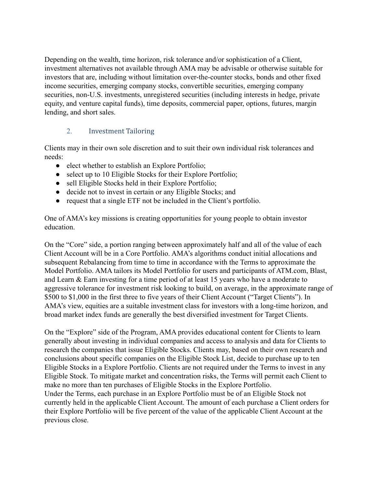Depending on the wealth, time horizon, risk tolerance and/or sophistication of a Client, investment alternatives not available through AMA may be advisable or otherwise suitable for investors that are, including without limitation over-the-counter stocks, bonds and other fixed income securities, emerging company stocks, convertible securities, emerging company securities, non-U.S. investments, unregistered securities (including interests in hedge, private equity, and venture capital funds), time deposits, commercial paper, options, futures, margin lending, and short sales.

### 2. Investment Tailoring

<span id="page-9-0"></span>Clients may in their own sole discretion and to suit their own individual risk tolerances and needs:

- elect whether to establish an Explore Portfolio;
- select up to 10 Eligible Stocks for their Explore Portfolio;
- sell Eligible Stocks held in their Explore Portfolio;
- decide not to invest in certain or any Eligible Stocks; and
- request that a single ETF not be included in the Client's portfolio.

One of AMA's key missions is creating opportunities for young people to obtain investor education.

On the "Core" side, a portion ranging between approximately half and all of the value of each Client Account will be in a Core Portfolio. AMA's algorithms conduct initial allocations and subsequent Rebalancing from time to time in accordance with the Terms to approximate the Model Portfolio. AMA tailors its Model Portfolio for users and participants of ATM.com, Blast, and Learn & Earn investing for a time period of at least 15 years who have a moderate to aggressive tolerance for investment risk looking to build, on average, in the approximate range of \$500 to \$1,000 in the first three to five years of their Client Account ("Target Clients"). In AMA's view, equities are a suitable investment class for investors with a long-time horizon, and broad market index funds are generally the best diversified investment for Target Clients.

On the "Explore" side of the Program, AMA provides educational content for Clients to learn generally about investing in individual companies and access to analysis and data for Clients to research the companies that issue Eligible Stocks. Clients may, based on their own research and conclusions about specific companies on the Eligible Stock List, decide to purchase up to ten Eligible Stocks in a Explore Portfolio. Clients are not required under the Terms to invest in any Eligible Stock. To mitigate market and concentration risks, the Terms will permit each Client to make no more than ten purchases of Eligible Stocks in the Explore Portfolio. Under the Terms, each purchase in an Explore Portfolio must be of an Eligible Stock not currently held in the applicable Client Account. The amount of each purchase a Client orders for their Explore Portfolio will be five percent of the value of the applicable Client Account at the previous close.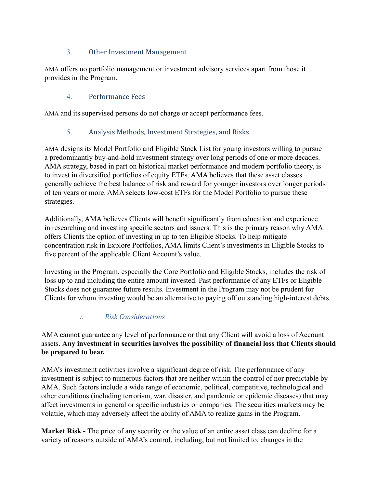### 3. Other Investment Management

<span id="page-10-0"></span>AMA offers no portfolio management or investment advisory services apart from those it provides in the Program.

## 4. Performance Fees

<span id="page-10-2"></span><span id="page-10-1"></span>AMA and its supervised persons do not charge or accept performance fees.

## 5. Analysis Methods, Investment Strategies, and Risks

AMA designs its Model Portfolio and Eligible Stock List for young investors willing to pursue a predominantly buy-and-hold investment strategy over long periods of one or more decades. AMA strategy, based in part on historical market performance and modern portfolio theory, is to invest in diversified portfolios of equity ETFs. AMA believes that these asset classes generally achieve the best balance of risk and reward for younger investors over longer periods of ten years or more. AMA selects low-cost ETFs for the Model Portfolio to pursue these strategies.

Additionally, AMA believes Clients will benefit significantly from education and experience in researching and investing specific sectors and issuers. This is the primary reason why AMA offers Clients the option of investing in up to ten Eligible Stocks. To help mitigate concentration risk in Explore Portfolios, AMA limits Client's investments in Eligible Stocks to five percent of the applicable Client Account's value.

Investing in the Program, especially the Core Portfolio and Eligible Stocks, includes the risk of loss up to and including the entire amount invested. Past performance of any ETFs or Eligible Stocks does not guarantee future results. Investment in the Program may not be prudent for Clients for whom investing would be an alternative to paying off outstanding high-interest debts.

### *i. Risk Considerations*

AMA cannot guarantee any level of performance or that any Client will avoid a loss of Account assets. **Any investment in securities involves the possibility of financial loss that Clients should be prepared to bear.**

AMA's investment activities involve a significant degree of risk. The performance of any investment is subject to numerous factors that are neither within the control of nor predictable by AMA. Such factors include a wide range of economic, political, competitive, technological and other conditions (including terrorism, war, disaster, and pandemic or epidemic diseases) that may affect investments in general or specific industries or companies. The securities markets may be volatile, which may adversely affect the ability of AMA to realize gains in the Program.

**Market Risk -** The price of any security or the value of an entire asset class can decline for a variety of reasons outside of AMA's control, including, but not limited to, changes in the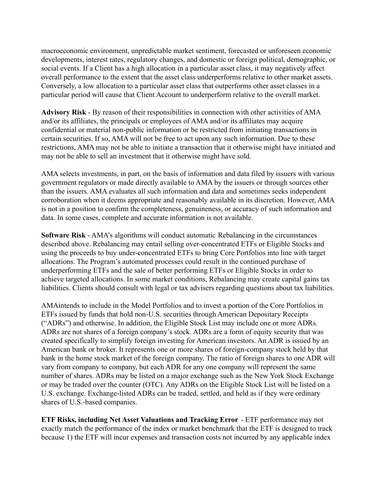macroeconomic environment, unpredictable market sentiment, forecasted or unforeseen economic developments, interest rates, regulatory changes, and domestic or foreign political, demographic, or social events. If a Client has a high allocation in a particular asset class, it may negatively affect overall performance to the extent that the asset class underperforms relative to other market assets. Conversely, a low allocation to a particular asset class that outperforms other asset classes in a particular period will cause that Client Account to underperform relative to the overall market.

**Advisory Risk** - By reason of their responsibilities in connection with other activities of AMA and/or its affiliates, the principals or employees of AMA and/or its affiliates may acquire confidential or material non-public information or be restricted from initiating transactions in certain securities. If so, AMA will not be free to act upon any such information. Due to these restrictions, AMA may not be able to initiate a transaction that it otherwise might have initiated and may not be able to sell an investment that it otherwise might have sold.

AMA selects investments, in part, on the basis of information and data filed by issuers with various government regulators or made directly available to AMA by the issuers or through sources other than the issuers. AMA evaluates all such information and data and sometimes seeks independent corroboration when it deems appropriate and reasonably available in its discretion. However, AMA is not in a position to confirm the completeness, genuineness, or accuracy of such information and data. In some cases, complete and accurate information is not available.

**Software Risk** - AMA's algorithms will conduct automatic Rebalancing in the circumstances described above. Rebalancing may entail selling over-concentrated ETFs or Eligible Stocks and using the proceeds to buy under-concentrated ETFs to bring Core Portfolios into line with target allocations. The Program's automated processes could result in the continued purchase of underperforming ETFs and the sale of better performing ETFs or Eligible Stocks in order to achieve targeted allocations. In some market conditions, Rebalancing may create capital gains tax liabilities. Clients should consult with legal or tax advisers regarding questions about tax liabilities.

AMAintends to include in the Model Portfolios and to invest a portion of the Core Portfolios in ETFs issued by funds that hold non-U.S. securities through American Depositary Receipts ("ADRs") and otherwise. In addition, the Eligible Stock List may include one or more ADRs. ADRs are not shares of a foreign company's stock. ADRs are a form of equity security that was created specifically to simplify foreign investing for American investors. An ADR is issued by an American bank or broker. It represents one or more shares of foreign-company stock held by that bank in the home stock market of the foreign company. The ratio of foreign shares to one ADR will vary from company to company, but each ADR for any one company will represent the same number of shares. ADRs may be listed on a major exchange such as the New York Stock Exchange or may be traded over the counter (OTC). Any ADRs on the Eligible Stock List will be listed on a U.S. exchange. Exchange-listed ADRs can be traded, settled, and held as if they were ordinary shares of U.S.-based companies.

**ETF Risks, including Net Asset Valuations and Tracking Error** - ETF performance may not exactly match the performance of the index or market benchmark that the ETF is designed to track because 1) the ETF will incur expenses and transaction costs not incurred by any applicable index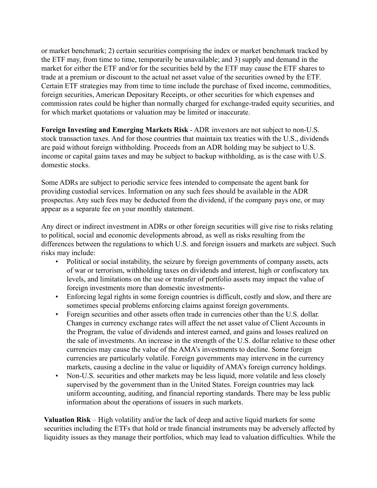or market benchmark; 2) certain securities comprising the index or market benchmark tracked by the ETF may, from time to time, temporarily be unavailable; and 3) supply and demand in the market for either the ETF and/or for the securities held by the ETF may cause the ETF shares to trade at a premium or discount to the actual net asset value of the securities owned by the ETF. Certain ETF strategies may from time to time include the purchase of fixed income, commodities, foreign securities, American Depositary Receipts, or other securities for which expenses and commission rates could be higher than normally charged for exchange-traded equity securities, and for which market quotations or valuation may be limited or inaccurate.

**Foreign Investing and Emerging Markets Risk** - ADR investors are not subject to non-U.S. stock transaction taxes. And for those countries that maintain tax treaties with the U.S., dividends are paid without foreign withholding. Proceeds from an ADR holding may be subject to U.S. income or capital gains taxes and may be subject to backup withholding, as is the case with U.S. domestic stocks.

Some ADRs are subject to periodic service fees intended to compensate the agent bank for providing custodial services. Information on any such fees should be available in the ADR prospectus. Any such fees may be deducted from the dividend, if the company pays one, or may appear as a separate fee on your monthly statement.

Any direct or indirect investment in ADRs or other foreign securities will give rise to risks relating to political, social and economic developments abroad, as well as risks resulting from the differences between the regulations to which U.S. and foreign issuers and markets are subject. Such risks may include:

- Political or social instability, the seizure by foreign governments of company assets, acts of war or terrorism, withholding taxes on dividends and interest, high or confiscatory tax levels, and limitations on the use or transfer of portfolio assets may impact the value of foreign investments more than domestic investments-
- Enforcing legal rights in some foreign countries is difficult, costly and slow, and there are sometimes special problems enforcing claims against foreign governments.
- Foreign securities and other assets often trade in currencies other than the U.S. dollar. Changes in currency exchange rates will affect the net asset value of Client Accounts in the Program, the value of dividends and interest earned, and gains and losses realized on the sale of investments. An increase in the strength of the U.S. dollar relative to these other currencies may cause the value of the AMA's investments to decline. Some foreign currencies are particularly volatile. Foreign governments may intervene in the currency markets, causing a decline in the value or liquidity of AMA's foreign currency holdings.
- Non-U.S. securities and other markets may be less liquid, more volatile and less closely supervised by the government than in the United States. Foreign countries may lack uniform accounting, auditing, and financial reporting standards. There may be less public information about the operations of issuers in such markets.

**Valuation Risk** – High volatility and/or the lack of deep and active liquid markets for some securities including the ETFs that hold or trade financial instruments may be adversely affected by liquidity issues as they manage their portfolios, which may lead to valuation difficulties. While the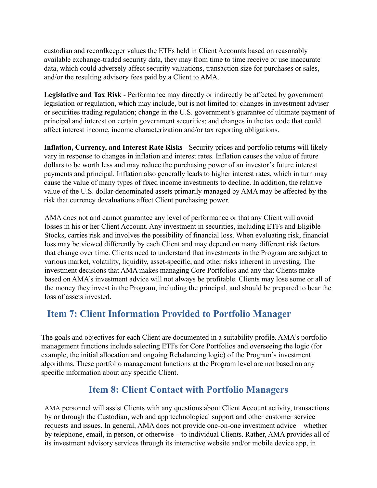custodian and recordkeeper values the ETFs held in Client Accounts based on reasonably available exchange-traded security data, they may from time to time receive or use inaccurate data, which could adversely affect security valuations, transaction size for purchases or sales, and/or the resulting advisory fees paid by a Client to AMA.

**Legislative and Tax Risk** - Performance may directly or indirectly be affected by government legislation or regulation, which may include, but is not limited to: changes in investment adviser or securities trading regulation; change in the U.S. government's guarantee of ultimate payment of principal and interest on certain government securities; and changes in the tax code that could affect interest income, income characterization and/or tax reporting obligations.

**Inflation, Currency, and Interest Rate Risks** - Security prices and portfolio returns will likely vary in response to changes in inflation and interest rates. Inflation causes the value of future dollars to be worth less and may reduce the purchasing power of an investor's future interest payments and principal. Inflation also generally leads to higher interest rates, which in turn may cause the value of many types of fixed income investments to decline. In addition, the relative value of the U.S. dollar-denominated assets primarily managed by AMA may be affected by the risk that currency devaluations affect Client purchasing power.

AMA does not and cannot guarantee any level of performance or that any Client will avoid losses in his or her Client Account. Any investment in securities, including ETFs and Eligible Stocks, carries risk and involves the possibility of financial loss. When evaluating risk, financial loss may be viewed differently by each Client and may depend on many different risk factors that change over time. Clients need to understand that investments in the Program are subject to various market, volatility, liquidity, asset-specific, and other risks inherent in investing. The investment decisions that AMA makes managing Core Portfolios and any that Clients make based on AMA's investment advice will not always be profitable. Clients may lose some or all of the money they invest in the Program, including the principal, and should be prepared to bear the loss of assets invested.

# <span id="page-13-0"></span>**Item 7: Client Information Provided to Portfolio Manager**

The goals and objectives for each Client are documented in a suitability profile. AMA's portfolio management functions include selecting ETFs for Core Portfolios and overseeing the logic (for example, the initial allocation and ongoing Rebalancing logic) of the Program's investment algorithms. These portfolio management functions at the Program level are not based on any specific information about any specific Client.

# **Item 8: Client Contact with Portfolio Managers**

<span id="page-13-1"></span>AMA personnel will assist Clients with any questions about Client Account activity, transactions by or through the Custodian, web and app technological support and other customer service requests and issues. In general, AMA does not provide one-on-one investment advice – whether by telephone, email, in person, or otherwise – to individual Clients. Rather, AMA provides all of its investment advisory services through its interactive website and/or mobile device app, in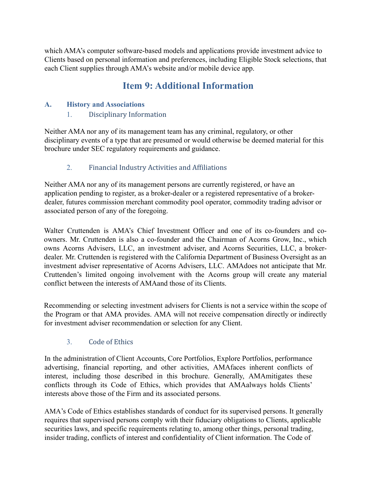<span id="page-14-0"></span>which AMA's computer software-based models and applications provide investment advice to Clients based on personal information and preferences, including Eligible Stock selections, that each Client supplies through AMA's website and/or mobile device app.

# **Item 9: Additional Information**

#### <span id="page-14-2"></span><span id="page-14-1"></span>**A. History and Associations**

#### 1. Disciplinary Information

Neither AMA nor any of its management team has any criminal, regulatory, or other disciplinary events of a type that are presumed or would otherwise be deemed material for this brochure under SEC regulatory requirements and guidance.

## 2. Financial Industry Activities and Affiliations

<span id="page-14-3"></span>Neither AMA nor any of its management persons are currently registered, or have an application pending to register, as a broker-dealer or a registered representative of a brokerdealer, futures commission merchant commodity pool operator, commodity trading advisor or associated person of any of the foregoing.

Walter Cruttenden is AMA's Chief Investment Officer and one of its co-founders and coowners. Mr. Cruttenden is also a co-founder and the Chairman of Acorns Grow, Inc., which owns Acorns Advisers, LLC, an investment adviser, and Acorns Securities, LLC, a brokerdealer. Mr. Cruttenden is registered with the California Department of Business Oversight as an investment adviser representative of Acorns Advisers, LLC. AMAdoes not anticipate that Mr. Cruttenden's limited ongoing involvement with the Acorns group will create any material conflict between the interests of AMAand those of its Clients.

Recommending or selecting investment advisers for Clients is not a service within the scope of the Program or that AMA provides. AMA will not receive compensation directly or indirectly for investment adviser recommendation or selection for any Client.

### 3. Code of Ethics

<span id="page-14-4"></span>In the administration of Client Accounts, Core Portfolios, Explore Portfolios, performance advertising, financial reporting, and other activities, AMAfaces inherent conflicts of interest, including those described in this brochure. Generally, AMAmitigates these conflicts through its Code of Ethics, which provides that AMAalways holds Clients' interests above those of the Firm and its associated persons.

AMA's Code of Ethics establishes standards of conduct for its supervised persons. It generally requires that supervised persons comply with their fiduciary obligations to Clients, applicable securities laws, and specific requirements relating to, among other things, personal trading, insider trading, conflicts of interest and confidentiality of Client information. The Code of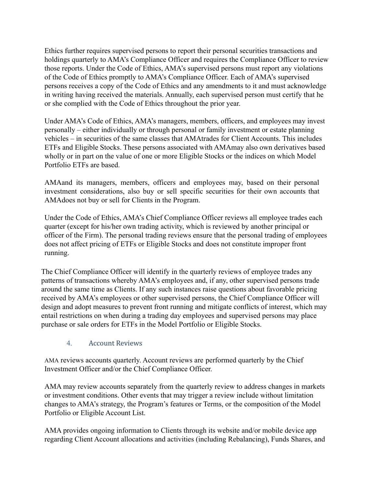Ethics further requires supervised persons to report their personal securities transactions and holdings quarterly to AMA's Compliance Officer and requires the Compliance Officer to review those reports. Under the Code of Ethics, AMA's supervised persons must report any violations of the Code of Ethics promptly to AMA's Compliance Officer. Each of AMA's supervised persons receives a copy of the Code of Ethics and any amendments to it and must acknowledge in writing having received the materials. Annually, each supervised person must certify that he or she complied with the Code of Ethics throughout the prior year.

Under AMA's Code of Ethics, AMA's managers, members, officers, and employees may invest personally – either individually or through personal or family investment or estate planning vehicles – in securities of the same classes that AMAtrades for Client Accounts. This includes ETFs and Eligible Stocks. These persons associated with AMAmay also own derivatives based wholly or in part on the value of one or more Eligible Stocks or the indices on which Model Portfolio ETFs are based.

AMAand its managers, members, officers and employees may, based on their personal investment considerations, also buy or sell specific securities for their own accounts that AMAdoes not buy or sell for Clients in the Program.

Under the Code of Ethics, AMA's Chief Compliance Officer reviews all employee trades each quarter (except for his/her own trading activity, which is reviewed by another principal or officer of the Firm). The personal trading reviews ensure that the personal trading of employees does not affect pricing of ETFs or Eligible Stocks and does not constitute improper front running.

The Chief Compliance Officer will identify in the quarterly reviews of employee trades any patterns of transactions whereby AMA's employees and, if any, other supervised persons trade around the same time as Clients. If any such instances raise questions about favorable pricing received by AMA's employees or other supervised persons, the Chief Compliance Officer will design and adopt measures to prevent front running and mitigate conflicts of interest, which may entail restrictions on when during a trading day employees and supervised persons may place purchase or sale orders for ETFs in the Model Portfolio or Eligible Stocks.

#### 4. Account Reviews

<span id="page-15-0"></span>AMA reviews accounts quarterly. Account reviews are performed quarterly by the Chief Investment Officer and/or the Chief Compliance Officer.

AMA may review accounts separately from the quarterly review to address changes in markets or investment conditions. Other events that may trigger a review include without limitation changes to AMA's strategy, the Program's features or Terms, or the composition of the Model Portfolio or Eligible Account List.

AMA provides ongoing information to Clients through its website and/or mobile device app regarding Client Account allocations and activities (including Rebalancing), Funds Shares, and